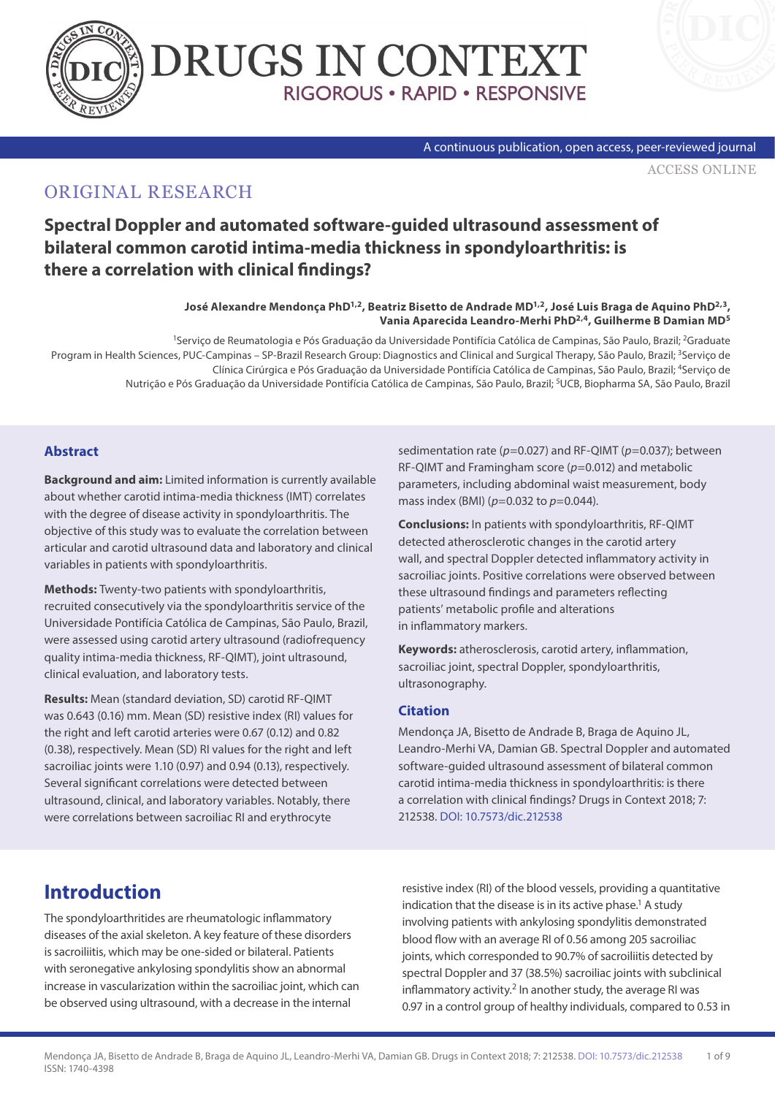



#### A continuous publication, open access, peer-reviewed journal

[ACCESS ONLINE](https://www.drugsincontext.com/spectral-doppler-and-automated-software-guided-ultrasound-assessment-of-bilateral-common-carotid-intima-media-thickness-in-spondyloarthritis-is-there-a-correlation-with-clinical-findings)

# ORIGINAL RESEARCH

# **Spectral Doppler and automated software-guided ultrasound assessment of bilateral common carotid intima-media thickness in spondyloarthritis: is there a correlation with clinical findings?**

#### **José Alexandre Mendonça PhD1,2, Beatriz Bisetto de Andrade MD1,2, José Luis Braga de Aquino PhD2,3, Vania Aparecida Leandro-Merhi PhD2,4, Guilherme B Damian MD5**

1Serviço de Reumatologia e Pós Graduação da Universidade Pontifícia Católica de Campinas, São Paulo, Brazil; 2Graduate Program in Health Sciences, PUC-Campinas – SP-Brazil Research Group: Diagnostics and Clinical and Surgical Therapy, São Paulo, Brazil; <sup>3</sup>Serviço de Clínica Cirúrgica e Pós Graduação da Universidade Pontifícia Católica de Campinas, São Paulo, Brazil; 4Serviço de Nutrição e Pós Graduação da Universidade Pontifícia Católica de Campinas, São Paulo, Brazil; 5UCB, Biopharma SA, São Paulo, Brazil

### **Abstract**

**Background and aim:** Limited information is currently available about whether carotid intima-media thickness (IMT) correlates with the degree of disease activity in spondyloarthritis. The objective of this study was to evaluate the correlation between articular and carotid ultrasound data and laboratory and clinical variables in patients with spondyloarthritis.

**Methods:** Twenty-two patients with spondyloarthritis, recruited consecutively via the spondyloarthritis service of the Universidade Pontifícia Católica de Campinas, São Paulo, Brazil, were assessed using carotid artery ultrasound (radiofrequency quality intima-media thickness, RF-QIMT), joint ultrasound, clinical evaluation, and laboratory tests.

**Results:** Mean (standard deviation, SD) carotid RF-QIMT was 0.643 (0.16) mm. Mean (SD) resistive index (RI) values for the right and left carotid arteries were 0.67 (0.12) and 0.82 (0.38), respectively. Mean (SD) RI values for the right and left sacroiliac joints were 1.10 (0.97) and 0.94 (0.13), respectively. Several significant correlations were detected between ultrasound, clinical, and laboratory variables. Notably, there were correlations between sacroiliac RI and erythrocyte

sedimentation rate (*p*=0.027) and RF-QIMT (*p*=0.037); between RF-QIMT and Framingham score (*p*=0.012) and metabolic parameters, including abdominal waist measurement, body mass index (BMI) (*p*=0.032 to *p*=0.044).

**Conclusions:** In patients with spondyloarthritis, RF-QIMT detected atherosclerotic changes in the carotid artery wall, and spectral Doppler detected inflammatory activity in sacroiliac joints. Positive correlations were observed between these ultrasound findings and parameters reflecting patients' metabolic profile and alterations in inflammatory markers.

**Keywords:** atherosclerosis, carotid artery, inflammation, sacroiliac joint, spectral Doppler, spondyloarthritis, ultrasonography.

### **Citation**

Mendonça JA, Bisetto de Andrade B, Braga de Aquino JL, Leandro-Merhi VA, Damian GB. Spectral Doppler and automated software-guided ultrasound assessment of bilateral common carotid intima-media thickness in spondyloarthritis: is there a correlation with clinical findings? Drugs in Context 2018; 7: 212538. [DOI: 10.7573/dic.212538](https://doi.org/10.7573/dic.212538)

# **Introduction**

The spondyloarthritides are rheumatologic inflammatory diseases of the axial skeleton. A key feature of these disorders is sacroiliitis, which may be one-sided or bilateral. Patients with seronegative ankylosing spondylitis show an abnormal increase in vascularization within the sacroiliac joint, which can be observed using ultrasound, with a decrease in the internal

resistive index (RI) of the blood vessels, providing a quantitative indication that the disease is in its active phase.<sup>1</sup> A study involving patients with ankylosing spondylitis demonstrated blood flow with an average RI of 0.56 among 205 sacroiliac joints, which corresponded to 90.7% of sacroiliitis detected by spectral Doppler and 37 (38.5%) sacroiliac joints with subclinical inflammatory activity.<sup>2</sup> In another study, the average RI was 0.97 in a control group of healthy individuals, compared to 0.53 in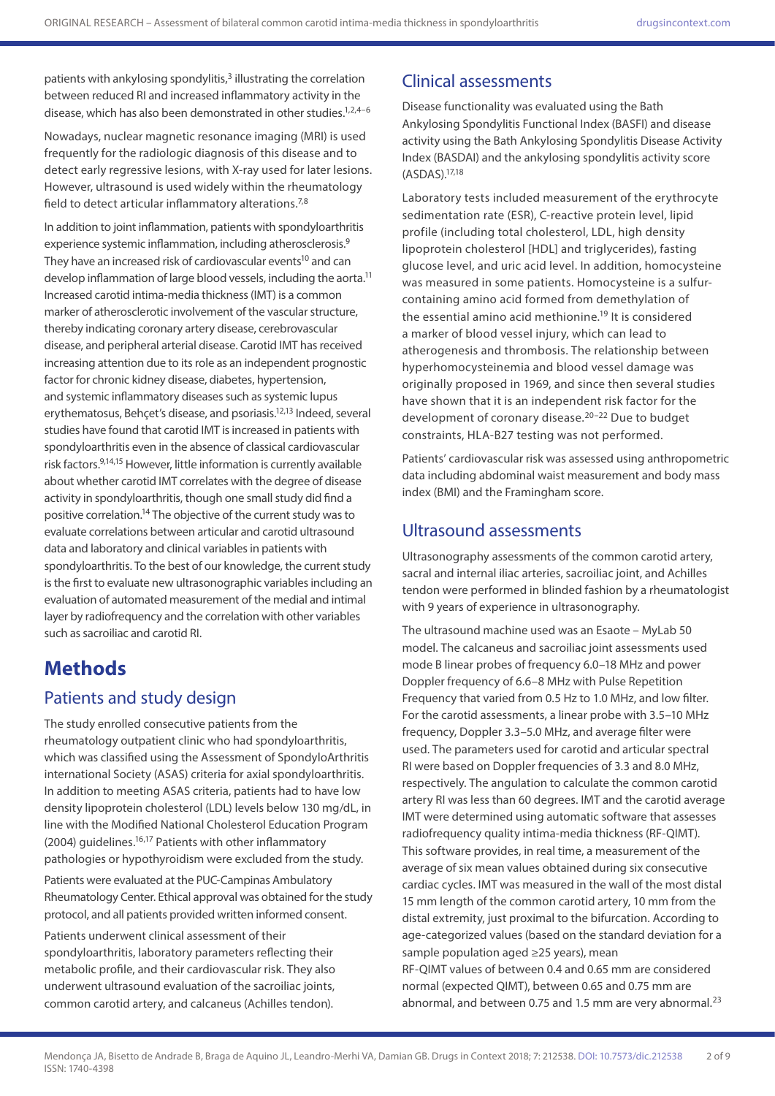patients with ankylosing spondylitis,<sup>3</sup> illustrating the correlation between reduced RI and increased inflammatory activity in the disease, which has also been demonstrated in other studies.<sup>1,2,4-6</sup>

Nowadays, nuclear magnetic resonance imaging (MRI) is used frequently for the radiologic diagnosis of this disease and to detect early regressive lesions, with X-ray used for later lesions. However, ultrasound is used widely within the rheumatology field to detect articular inflammatory alterations.<sup>7,8</sup>

In addition to joint inflammation, patients with spondyloarthritis experience systemic inflammation, including atherosclerosis.<sup>9</sup> They have an increased risk of cardiovascular events<sup>10</sup> and can develop inflammation of large blood vessels, including the aorta.<sup>11</sup> Increased carotid intima-media thickness (IMT) is a common marker of atherosclerotic involvement of the vascular structure, thereby indicating coronary artery disease, cerebrovascular disease, and peripheral arterial disease. Carotid IMT has received increasing attention due to its role as an independent prognostic factor for chronic kidney disease, diabetes, hypertension, and systemic inflammatory diseases such as systemic lupus erythematosus, Behçet's disease, and psoriasis.12,13 Indeed, several studies have found that carotid IMT is increased in patients with spondyloarthritis even in the absence of classical cardiovascular risk factors.9,14,15 However, little information is currently available about whether carotid IMT correlates with the degree of disease activity in spondyloarthritis, though one small study did find a positive correlation.14 The objective of the current study was to evaluate correlations between articular and carotid ultrasound data and laboratory and clinical variables in patients with spondyloarthritis. To the best of our knowledge, the current study is the first to evaluate new ultrasonographic variables including an evaluation of automated measurement of the medial and intimal layer by radiofrequency and the correlation with other variables such as sacroiliac and carotid RI.

# **Methods**

### Patients and study design

The study enrolled consecutive patients from the rheumatology outpatient clinic who had spondyloarthritis, which was classified using the Assessment of SpondyloArthritis international Society (ASAS) criteria for axial spondyloarthritis. In addition to meeting ASAS criteria, patients had to have low density lipoprotein cholesterol (LDL) levels below 130 mg/dL, in line with the Modified National Cholesterol Education Program (2004) guidelines.16,17 Patients with other inflammatory pathologies or hypothyroidism were excluded from the study.

Patients were evaluated at the PUC-Campinas Ambulatory Rheumatology Center. Ethical approval was obtained for the study protocol, and all patients provided written informed consent.

Patients underwent clinical assessment of their spondyloarthritis, laboratory parameters reflecting their metabolic profile, and their cardiovascular risk. They also underwent ultrasound evaluation of the sacroiliac joints, common carotid artery, and calcaneus (Achilles tendon).

## Clinical assessments

Disease functionality was evaluated using the Bath Ankylosing Spondylitis Functional Index (BASFI) and disease activity using the Bath Ankylosing Spondylitis Disease Activity Index (BASDAI) and the ankylosing spondylitis activity score (ASDAS).17,18

Laboratory tests included measurement of the erythrocyte sedimentation rate (ESR), C-reactive protein level, lipid profile (including total cholesterol, LDL, high density lipoprotein cholesterol [HDL] and triglycerides), fasting glucose level, and uric acid level. In addition, homocysteine was measured in some patients. Homocysteine is a sulfurcontaining amino acid formed from demethylation of the essential amino acid methionine.<sup>19</sup> It is considered a marker of blood vessel injury, which can lead to atherogenesis and thrombosis. The relationship between hyperhomocysteinemia and blood vessel damage was originally proposed in 1969, and since then several studies have shown that it is an independent risk factor for the development of coronary disease.20–22 Due to budget constraints, HLA-B27 testing was not performed.

Patients' cardiovascular risk was assessed using anthropometric data including abdominal waist measurement and body mass index (BMI) and the Framingham score.

### Ultrasound assessments

Ultrasonography assessments of the common carotid artery, sacral and internal iliac arteries, sacroiliac joint, and Achilles tendon were performed in blinded fashion by a rheumatologist with 9 years of experience in ultrasonography.

The ultrasound machine used was an Esaote – MyLab 50 model. The calcaneus and sacroiliac joint assessments used mode B linear probes of frequency 6.0–18 MHz and power Doppler frequency of 6.6–8 MHz with Pulse Repetition Frequency that varied from 0.5 Hz to 1.0 MHz, and low filter. For the carotid assessments, a linear probe with 3.5–10 MHz frequency, Doppler 3.3–5.0 MHz, and average filter were used. The parameters used for carotid and articular spectral RI were based on Doppler frequencies of 3.3 and 8.0 MHz, respectively. The angulation to calculate the common carotid artery RI was less than 60 degrees. IMT and the carotid average IMT were determined using automatic software that assesses radiofrequency quality intima-media thickness (RF-QIMT). This software provides, in real time, a measurement of the average of six mean values obtained during six consecutive cardiac cycles. IMT was measured in the wall of the most distal 15 mm length of the common carotid artery, 10 mm from the distal extremity, just proximal to the bifurcation. According to age-categorized values (based on the standard deviation for a sample population aged ≥25 years), mean RF-QIMT values of between 0.4 and 0.65 mm are considered normal (expected QIMT), between 0.65 and 0.75 mm are abnormal, and between 0.75 and 1.5 mm are very abnormal. $^{23}$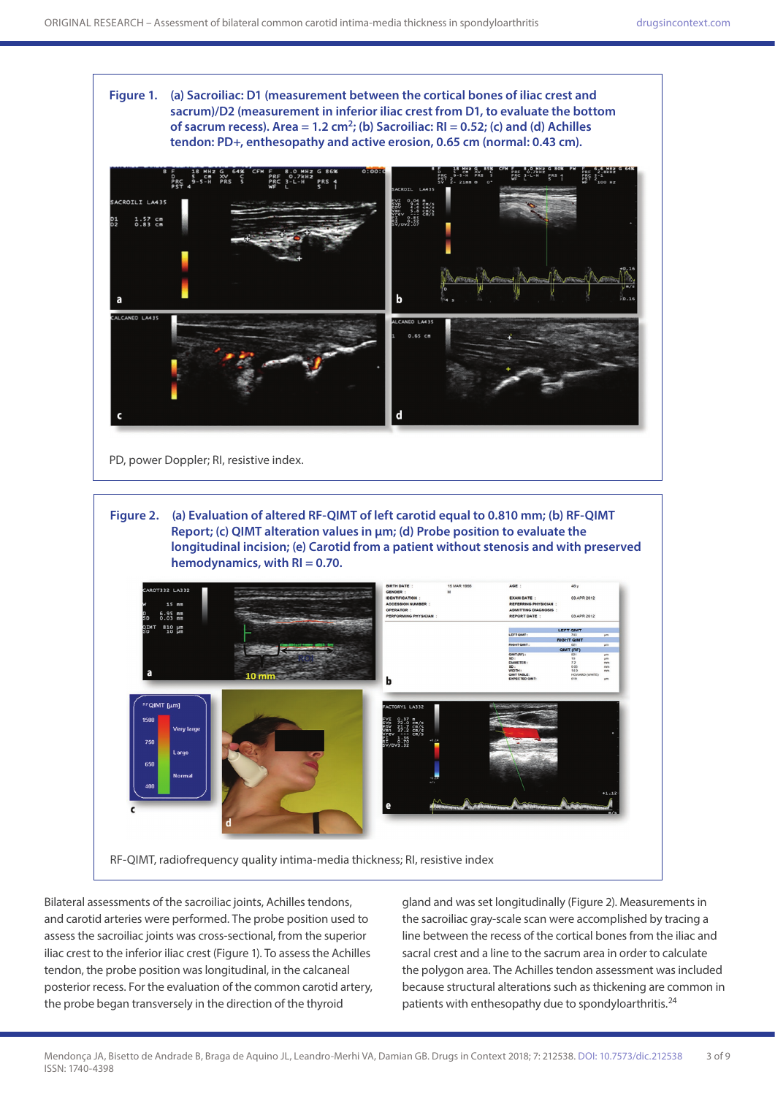





Bilateral assessments of the sacroiliac joints, Achilles tendons, and carotid arteries were performed. The probe position used to assess the sacroiliac joints was cross-sectional, from the superior iliac crest to the inferior iliac crest (Figure 1). To assess the Achilles tendon, the probe position was longitudinal, in the calcaneal posterior recess. For the evaluation of the common carotid artery, the probe began transversely in the direction of the thyroid

gland and was set longitudinally (Figure 2). Measurements in the sacroiliac gray-scale scan were accomplished by tracing a line between the recess of the cortical bones from the iliac and sacral crest and a line to the sacrum area in order to calculate the polygon area. The Achilles tendon assessment was included because structural alterations such as thickening are common in patients with enthesopathy due to spondyloarthritis.<sup>24</sup>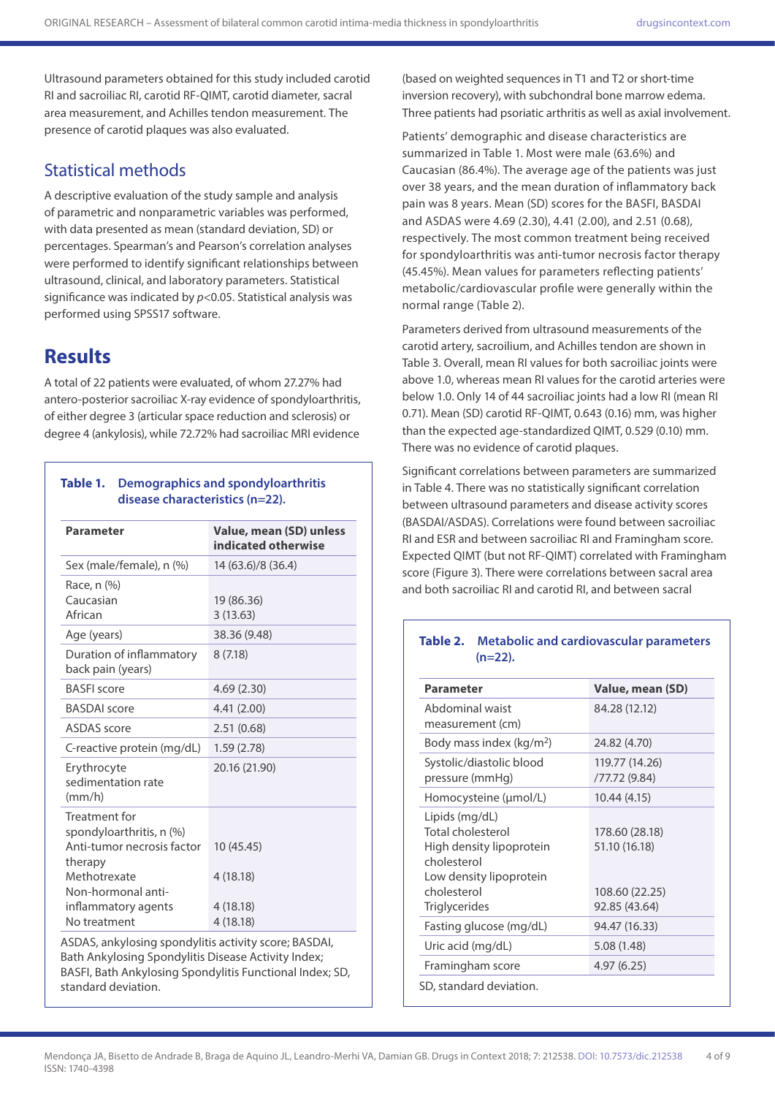Ultrasound parameters obtained for this study included carotid RI and sacroiliac RI, carotid RF-QIMT, carotid diameter, sacral area measurement, and Achilles tendon measurement. The presence of carotid plaques was also evaluated.

### Statistical methods

A descriptive evaluation of the study sample and analysis of parametric and nonparametric variables was performed, with data presented as mean (standard deviation, SD) or percentages. Spearman's and Pearson's correlation analyses were performed to identify significant relationships between ultrasound, clinical, and laboratory parameters. Statistical significance was indicated by *p*<0.05. Statistical analysis was performed using SPSS17 software.

## **Results**

A total of 22 patients were evaluated, of whom 27.27% had antero-posterior sacroiliac X-ray evidence of spondyloarthritis, of either degree 3 (articular space reduction and sclerosis) or degree 4 (ankylosis), while 72.72% had sacroiliac MRI evidence

### **Table 1. Demographics and spondyloarthritis disease characteristics (n=22).**

| Parameter                                                                                                                                                       | Value, mean (SD) unless<br>indicated otherwise |
|-----------------------------------------------------------------------------------------------------------------------------------------------------------------|------------------------------------------------|
| Sex (male/female), n (%)                                                                                                                                        | 14 (63.6)/8 (36.4)                             |
| Race, n (%)<br>Caucasian<br>African                                                                                                                             | 19 (86.36)<br>3(13.63)                         |
| Age (years)                                                                                                                                                     | 38.36 (9.48)                                   |
| Duration of inflammatory<br>back pain (years)                                                                                                                   | 8(7.18)                                        |
| <b>BASFI</b> score                                                                                                                                              | 4.69(2.30)                                     |
| <b>BASDAI</b> score                                                                                                                                             | 4.41(2.00)                                     |
| <b>ASDAS</b> score                                                                                                                                              | 2.51(0.68)                                     |
| C-reactive protein (mg/dL)                                                                                                                                      | 1.59(2.78)                                     |
| Erythrocyte<br>sedimentation rate<br>$\frac{mm}{h}$                                                                                                             | 20.16 (21.90)                                  |
| Treatment for<br>spondyloarthritis, n (%)<br>Anti-tumor necrosis factor<br>therapy<br>Methotrexate<br>Non-hormonal anti-<br>inflammatory agents<br>No treatment | 10 (45.45)<br>4(18.18)<br>4(18.18)<br>4(18.18) |
| ASDAS, ankylosing spondylitis activity score; BASDAI,                                                                                                           |                                                |

Bath Ankylosing Spondylitis Disease Activity Index; BASFI, Bath Ankylosing Spondylitis Functional Index; SD, standard deviation.

(based on weighted sequences in T1 and T2 or short-time inversion recovery), with subchondral bone marrow edema. Three patients had psoriatic arthritis as well as axial involvement.

Patients' demographic and disease characteristics are summarized in Table 1. Most were male (63.6%) and Caucasian (86.4%). The average age of the patients was just over 38 years, and the mean duration of inflammatory back pain was 8 years. Mean (SD) scores for the BASFI, BASDAI and ASDAS were 4.69 (2.30), 4.41 (2.00), and 2.51 (0.68), respectively. The most common treatment being received for spondyloarthritis was anti-tumor necrosis factor therapy (45.45%). Mean values for parameters reflecting patients' metabolic/cardiovascular profile were generally within the normal range (Table 2).

Parameters derived from ultrasound measurements of the carotid artery, sacroilium, and Achilles tendon are shown in Table 3. Overall, mean RI values for both sacroiliac joints were above 1.0, whereas mean RI values for the carotid arteries were below 1.0. Only 14 of 44 sacroiliac joints had a low RI (mean RI 0.71). Mean (SD) carotid RF-QIMT, 0.643 (0.16) mm, was higher than the expected age-standardized QIMT, 0.529 (0.10) mm. There was no evidence of carotid plaques.

Significant correlations between parameters are summarized in Table 4. There was no statistically significant correlation between ultrasound parameters and disease activity scores (BASDAI/ASDAS). Correlations were found between sacroiliac RI and ESR and between sacroiliac RI and Framingham score. Expected QIMT (but not RF-QIMT) correlated with Framingham score (Figure 3). There were correlations between sacral area and both sacroiliac RI and carotid RI, and between sacral

### **Table 2. Metabolic and cardiovascular parameters (n=22).**

| <b>Parameter</b>                                                                                                                                 | Value, mean (SD)                                                   |
|--------------------------------------------------------------------------------------------------------------------------------------------------|--------------------------------------------------------------------|
| Abdominal waist<br>measurement (cm)                                                                                                              | 84.28 (12.12)                                                      |
| Body mass index (kg/m <sup>2</sup> )                                                                                                             | 24.82 (4.70)                                                       |
| Systolic/diastolic blood<br>pressure (mmHg)                                                                                                      | 119.77 (14.26)<br>/77.72 (9.84)                                    |
| Homocysteine (µmol/L)                                                                                                                            | 10.44 (4.15)                                                       |
| Lipids (mg/dL)<br>Total cholesterol<br>High density lipoprotein<br>cholesterol<br>Low density lipoprotein<br>cholesterol<br><b>Triglycerides</b> | 178.60 (28.18)<br>51.10 (16.18)<br>108.60 (22.25)<br>92.85 (43.64) |
| Fasting glucose (mg/dL)                                                                                                                          | 94.47 (16.33)                                                      |
| Uric acid (mg/dL)                                                                                                                                | 5.08 (1.48)                                                        |
| Framingham score                                                                                                                                 | 4.97(6.25)                                                         |
| SD, standard deviation.                                                                                                                          |                                                                    |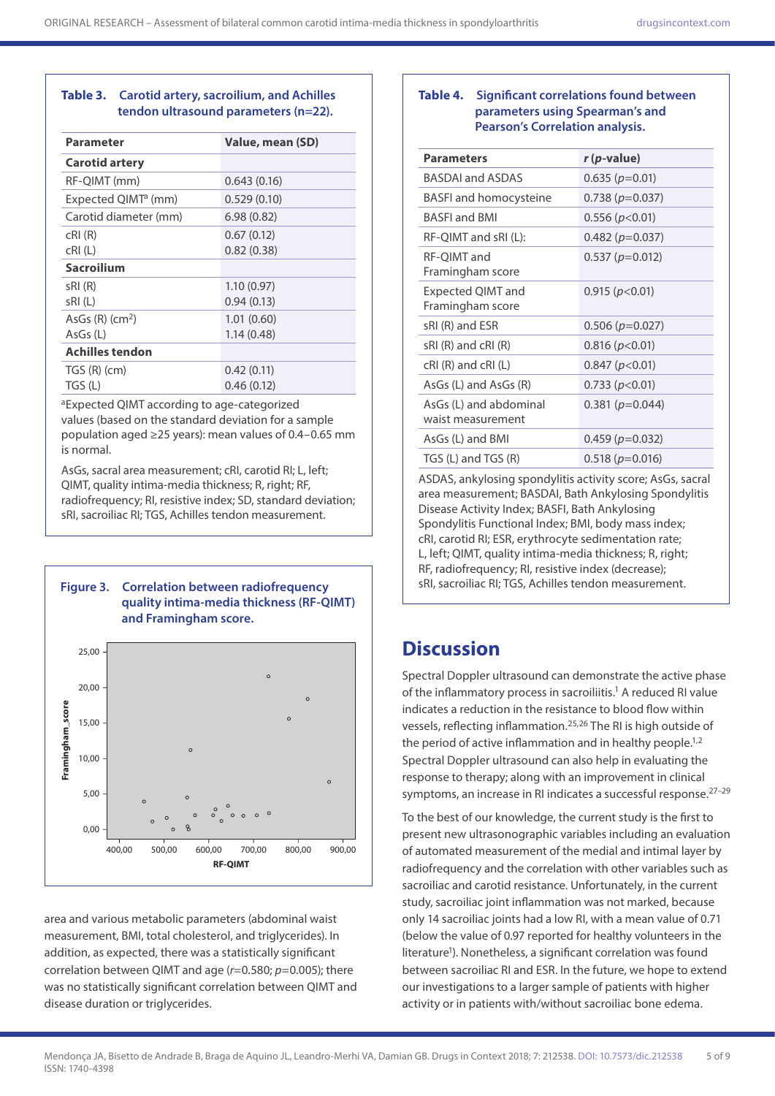### **Table 3. Carotid artery, sacroilium, and Achilles tendon ultrasound parameters (n=22).**

| Parameter                       | Value, mean (SD) |
|---------------------------------|------------------|
| <b>Carotid artery</b>           |                  |
| RF-QIMT (mm)                    | 0.643(0.16)      |
| Expected QIMT <sup>a</sup> (mm) | 0.529(0.10)      |
| Carotid diameter (mm)           | 6.98(0.82)       |
| cRI(R)                          | 0.67(0.12)       |
| cRI(L)                          | 0.82(0.38)       |
| <b>Sacroilium</b>               |                  |
| sRI (R)                         | 1.10(0.97)       |
| sRI(L)                          | 0.94(0.13)       |
| AsGs $(R)$ (cm <sup>2</sup> )   | 1.01(0.60)       |
| AsGs (L)                        | 1.14(0.48)       |
| Achilles tendon                 |                  |
| $TGS(R)$ (cm)                   | 0.42(0.11)       |
| TGS (L)                         | 0.46(0.12)       |

aExpected QIMT according to age-categorized values (based on the standard deviation for a sample population aged ≥25 years): mean values of 0.4–0.65 mm is normal.

AsGs, sacral area measurement; cRI, carotid RI; L, left; QIMT, quality intima-media thickness; R, right; RF, radiofrequency; RI, resistive index; SD, standard deviation; sRI, sacroiliac RI; TGS, Achilles tendon measurement.



400,00 500,00 600,00 **RF-QIMT** 700,00 800,00 900,00

area and various metabolic parameters (abdominal waist measurement, BMI, total cholesterol, and triglycerides). In addition, as expected, there was a statistically significant correlation between QIMT and age (*r*=0.580; *p*=0.005); there was no statistically significant correlation between OIMT and disease duration or triglycerides.

0,00

### **Table 4. Significant correlations found between parameters using Spearman's and Pearson's Correlation analysis.**

| <b>Parameters</b>                           | r (p-value)           |
|---------------------------------------------|-----------------------|
|                                             |                       |
| <b>BASDAI and ASDAS</b>                     | $0.635 (p=0.01)$      |
| <b>BASFI</b> and homocysteine               | $0.738(p=0.037)$      |
| <b>BASEL</b> and <b>BMI</b>                 | 0.556(p<0.01)         |
| RF-QIMT and sRI (L):                        | $0.482$ ( $p=0.037$ ) |
| RF-QIMT and<br>Framingham score             | $0.537 (p=0.012)$     |
| Expected QIMT and<br>Framingham score       | 0.915 (p<0.01)        |
| sRI (R) and ESR                             | $0.506 (p=0.027)$     |
| $sRI(R)$ and $cRI(R)$                       | 0.816 (p<0.01)        |
| $cRI(R)$ and $cRI(L)$                       | 0.847 (p<0.01)        |
| $AsGs (L)$ and $AsGs (R)$                   | 0.733 (p<0.01)        |
| AsGs (L) and abdominal<br>waist measurement | $0.381(p=0.044)$      |
| AsGs (L) and BMI                            | $0.459 (p=0.032)$     |
| TGS (L) and TGS (R)                         | $0.518(p=0.016)$      |

ASDAS, ankylosing spondylitis activity score; AsGs, sacral area measurement; BASDAI, Bath Ankylosing Spondylitis Disease Activity Index; BASFI, Bath Ankylosing Spondylitis Functional Index; BMI, body mass index; cRI, carotid RI; ESR, erythrocyte sedimentation rate; L, left; QIMT, quality intima-media thickness; R, right; RF, radiofrequency; RI, resistive index (decrease);

# **Discussion**

Spectral Doppler ultrasound can demonstrate the active phase of the inflammatory process in sacroiliitis.<sup>1</sup> A reduced RI value indicates a reduction in the resistance to blood flow within vessels, reflecting inflammation.25,26 The RI is high outside of the period of active inflammation and in healthy people.<sup>1,2</sup> Spectral Doppler ultrasound can also help in evaluating the response to therapy; along with an improvement in clinical symptoms, an increase in RI indicates a successful response.<sup>27-29</sup>

To the best of our knowledge, the current study is the first to present new ultrasonographic variables including an evaluation of automated measurement of the medial and intimal layer by radiofrequency and the correlation with other variables such as sacroiliac and carotid resistance. Unfortunately, in the current study, sacroiliac joint inflammation was not marked, because only 14 sacroiliac joints had a low RI, with a mean value of 0.71 (below the value of 0.97 reported for healthy volunteers in the literature<sup>1</sup>). Nonetheless, a significant correlation was found between sacroiliac RI and ESR. In the future, we hope to extend our investigations to a larger sample of patients with higher activity or in patients with/without sacroiliac bone edema.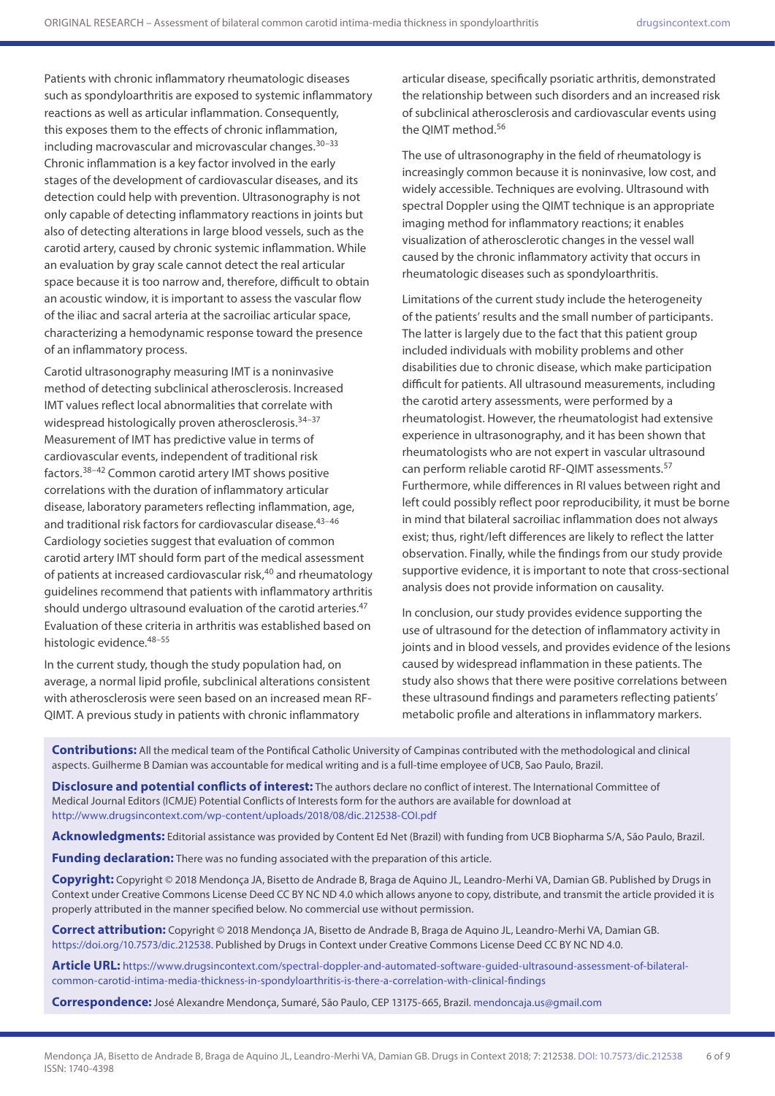Patients with chronic inflammatory rheumatologic diseases such as spondyloarthritis are exposed to systemic inflammatory reactions as well as articular inflammation. Consequently, this exposes them to the effects of chronic inflammation, including macrovascular and microvascular changes.30–33 Chronic inflammation is a key factor involved in the early stages of the development of cardiovascular diseases, and its detection could help with prevention. Ultrasonography is not only capable of detecting inflammatory reactions in joints but also of detecting alterations in large blood vessels, such as the carotid artery, caused by chronic systemic inflammation. While an evaluation by gray scale cannot detect the real articular space because it is too narrow and, therefore, difficult to obtain an acoustic window, it is important to assess the vascular flow of the iliac and sacral arteria at the sacroiliac articular space, characterizing a hemodynamic response toward the presence of an inflammatory process.

Carotid ultrasonography measuring IMT is a noninvasive method of detecting subclinical atherosclerosis. Increased IMT values reflect local abnormalities that correlate with widespread histologically proven atherosclerosis.<sup>34-37</sup> Measurement of IMT has predictive value in terms of cardiovascular events, independent of traditional risk factors.38–42 Common carotid artery IMT shows positive correlations with the duration of inflammatory articular disease, laboratory parameters reflecting inflammation, age, and traditional risk factors for cardiovascular disease.<sup>43-46</sup> Cardiology societies suggest that evaluation of common carotid artery IMT should form part of the medical assessment of patients at increased cardiovascular risk,<sup>40</sup> and rheumatology guidelines recommend that patients with inflammatory arthritis should undergo ultrasound evaluation of the carotid arteries.<sup>47</sup> Evaluation of these criteria in arthritis was established based on histologic evidence. 48-55

In the current study, though the study population had, on average, a normal lipid profile, subclinical alterations consistent with atherosclerosis were seen based on an increased mean RF-QIMT. A previous study in patients with chronic inflammatory

articular disease, specifically psoriatic arthritis, demonstrated the relationship between such disorders and an increased risk of subclinical atherosclerosis and cardiovascular events using the QIMT method.56

The use of ultrasonography in the field of rheumatology is increasingly common because it is noninvasive, low cost, and widely accessible. Techniques are evolving. Ultrasound with spectral Doppler using the QIMT technique is an appropriate imaging method for inflammatory reactions; it enables visualization of atherosclerotic changes in the vessel wall caused by the chronic inflammatory activity that occurs in rheumatologic diseases such as spondyloarthritis.

Limitations of the current study include the heterogeneity of the patients' results and the small number of participants. The latter is largely due to the fact that this patient group included individuals with mobility problems and other disabilities due to chronic disease, which make participation difficult for patients. All ultrasound measurements, including the carotid artery assessments, were performed by a rheumatologist. However, the rheumatologist had extensive experience in ultrasonography, and it has been shown that rheumatologists who are not expert in vascular ultrasound can perform reliable carotid RF-QIMT assessments.57 Furthermore, while differences in RI values between right and left could possibly reflect poor reproducibility, it must be borne in mind that bilateral sacroiliac inflammation does not always exist; thus, right/left differences are likely to reflect the latter observation. Finally, while the findings from our study provide supportive evidence, it is important to note that cross-sectional analysis does not provide information on causality.

In conclusion, our study provides evidence supporting the use of ultrasound for the detection of inflammatory activity in joints and in blood vessels, and provides evidence of the lesions caused by widespread inflammation in these patients. The study also shows that there were positive correlations between these ultrasound findings and parameters reflecting patients' metabolic profile and alterations in inflammatory markers.

**Contributions:** All the medical team of the Pontifical Catholic University of Campinas contributed with the methodological and clinical aspects. Guilherme B Damian was accountable for medical writing and is a full-time employee of UCB, Sao Paulo, Brazil.

**Disclosure and potential conflicts of interest:** The authors declare no conflict of interest. The International Committee of Medical Journal Editors (ICMJE) Potential Conflicts of Interests form for the authors are available for download at <http://www.drugsincontext.com/wp-content/uploads/2018/08/dic.212538-COI.pdf>

**Acknowledgments:** Editorial assistance was provided by Content Ed Net (Brazil) with funding from UCB Biopharma S/A, São Paulo, Brazil.

**Funding declaration:** There was no funding associated with the preparation of this article.

**Copyright:** Copyright © 2018 Mendonça JA, Bisetto de Andrade B, Braga de Aquino JL, Leandro-Merhi VA, Damian GB. Published by Drugs in Context under Creative Commons License Deed CC BY NC ND 4.0 which allows anyone to copy, distribute, and transmit the article provided it is properly attributed in the manner specified below. No commercial use without permission.

**Correct attribution:** Copyright © 2018 Mendonça JA, Bisetto de Andrade B, Braga de Aquino JL, Leandro-Merhi VA, Damian GB. [https://doi.org/10.7573/dic.212538.](https://doi.org/10.7573/dic.212538) Published by Drugs in Context under Creative Commons License Deed CC BY NC ND 4.0.

**Article URL:** [https://www.drugsincontext.com/spectral-doppler-and-automated-software-guided-ultrasound-assessment-of-bilateral](https://www.drugsincontext.com/spectral-doppler-and-automated-software-guided-ultrasound-assessment-of-bilateral-common-carotid-intima-media-thickness-in-spondyloarthritis-is-there-a-correlation-with-clinical-findings)[common-carotid-intima-media-thickness-in-spondyloarthritis-is-there-a-correlation-with-clinical-findings](https://www.drugsincontext.com/spectral-doppler-and-automated-software-guided-ultrasound-assessment-of-bilateral-common-carotid-intima-media-thickness-in-spondyloarthritis-is-there-a-correlation-with-clinical-findings)

**Correspondence:** José Alexandre Mendonça, Sumaré, São Paulo, CEP 13175-665, Brazil. [mendoncaja.us@gmail.com](mailto:mendoncaja.us@gmail.com)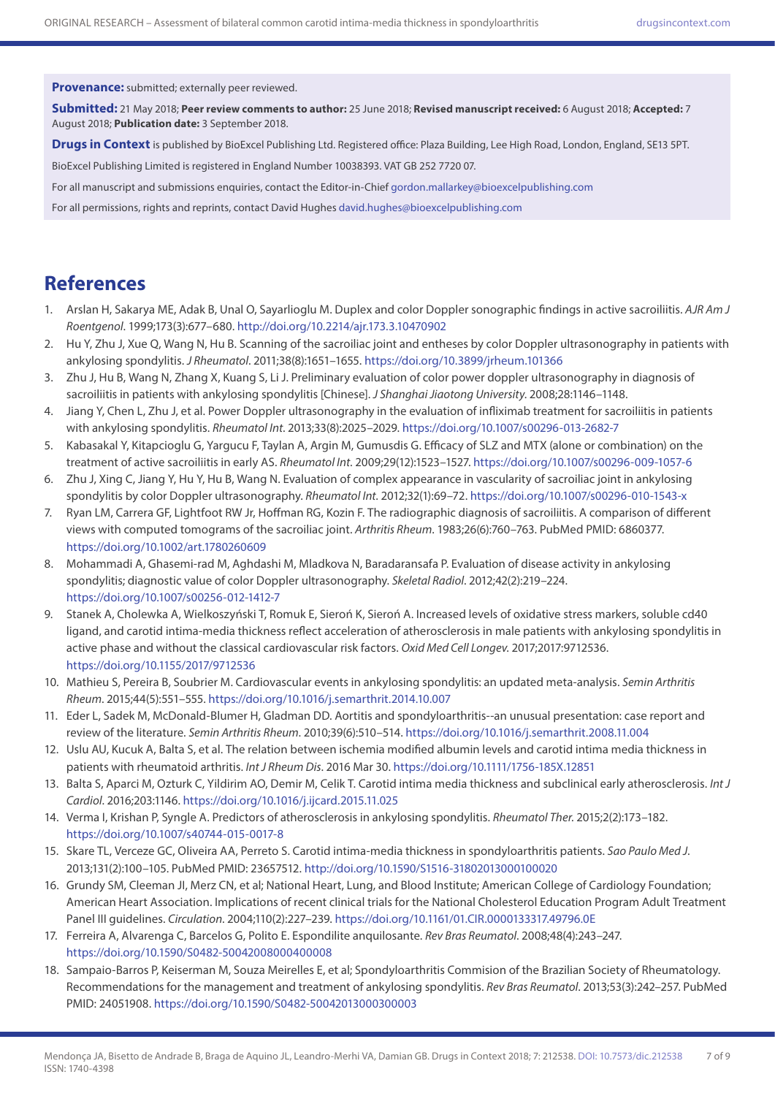**Provenance:** submitted; externally peer reviewed.

**Submitted:** 21 May 2018; **Peer review comments to author:** 25 June 2018; **Revised manuscript received:** 6 August 2018; **Accepted:** 7 August 2018; **Publication date:** 3 September 2018.

**Drugs in Context** is published by BioExcel Publishing Ltd. Registered office: Plaza Building, Lee High Road, London, England, SE13 5PT.

BioExcel Publishing Limited is registered in England Number 10038393. VAT GB 252 7720 07.

For all manuscript and submissions enquiries, contact the Editor-in-Chief [gordon.mallarkey@bioexcelpublishing.com](mailto:gordon.mallarkey@bioexcelpublishing.com)

For all permissions, rights and reprints, contact David Hughes [david.hughes@bioexcelpublishing.com](mailto:david.hughes@bioexcelpublishing.com)

# **References**

- 1. Arslan H, Sakarya ME, Adak B, Unal O, Sayarlioglu M. Duplex and color Doppler sonographic findings in active sacroiliitis. *AJR Am J Roentgenol*. 1999;173(3):677–680.<http://doi.org/10.2214/ajr.173.3.10470902>
- 2. Hu Y, Zhu J, Xue Q, Wang N, Hu B. Scanning of the sacroiliac joint and entheses by color Doppler ultrasonography in patients with ankylosing spondylitis. *J Rheumatol*. 2011;38(8):1651–1655.<https://doi.org/10.3899/jrheum.101366>
- 3. Zhu J, Hu B, Wang N, Zhang X, Kuang S, Li J. Preliminary evaluation of color power doppler ultrasonography in diagnosis of sacroiliitis in patients with ankylosing spondylitis [Chinese]. *J Shanghai Jiaotong University*. 2008;28:1146–1148.
- 4. Jiang Y, Chen L, Zhu J, et al. Power Doppler ultrasonography in the evaluation of infliximab treatment for sacroiliitis in patients with ankylosing spondylitis. *Rheumatol Int*. 2013;33(8):2025–2029.<https://doi.org/10.1007/s00296-013-2682-7>
- 5. Kabasakal Y, Kitapcioglu G, Yargucu F, Taylan A, Argin M, Gumusdis G. Efficacy of SLZ and MTX (alone or combination) on the treatment of active sacroiliitis in early AS. *Rheumatol Int*. 2009;29(12):1523–1527. <https://doi.org/10.1007/s00296-009-1057-6>
- 6. Zhu J, Xing C, Jiang Y, Hu Y, Hu B, Wang N. Evaluation of complex appearance in vascularity of sacroiliac joint in ankylosing spondylitis by color Doppler ultrasonography. *Rheumatol Int*. 2012;32(1):69–72. <https://doi.org/10.1007/s00296-010-1543-x>
- 7. Ryan LM, Carrera GF, Lightfoot RW Jr, Hoffman RG, Kozin F. The radiographic diagnosis of sacroiliitis. A comparison of different views with computed tomograms of the sacroiliac joint. *Arthritis Rheum*. 1983;26(6):760–763. PubMed PMID: 6860377. <https://doi.org/10.1002/art.1780260609>
- 8. Mohammadi A, Ghasemi-rad M, Aghdashi M, Mladkova N, Baradaransafa P. Evaluation of disease activity in ankylosing spondylitis; diagnostic value of color Doppler ultrasonography. *Skeletal Radiol*. 2012;42(2):219–224. <https://doi.org/10.1007/s00256-012-1412-7>
- 9. Stanek A, Cholewka A, Wielkoszyński T, Romuk E, Sieroń K, Sieroń A. Increased levels of oxidative stress markers, soluble cd40 ligand, and carotid intima-media thickness reflect acceleration of atherosclerosis in male patients with ankylosing spondylitis in active phase and without the classical cardiovascular risk factors. *Oxid Med Cell Longev*. 2017;2017:9712536. <https://doi.org/10.1155/2017/9712536>
- 10. Mathieu S, Pereira B, Soubrier M. Cardiovascular events in ankylosing spondylitis: an updated meta-analysis. *Semin Arthritis Rheum*. 2015;44(5):551–555.<https://doi.org/10.1016/j.semarthrit.2014.10.007>
- 11. Eder L, Sadek M, McDonald-Blumer H, Gladman DD. Aortitis and spondyloarthritis--an unusual presentation: case report and review of the literature. *Semin Arthritis Rheum*. 2010;39(6):510–514. <https://doi.org/10.1016/j.semarthrit.2008.11.004>
- 12. Uslu AU, Kucuk A, Balta S, et al. The relation between ischemia modified albumin levels and carotid intima media thickness in patients with rheumatoid arthritis. *Int J Rheum Dis*. 2016 Mar 30.<https://doi.org/10.1111/1756-185X.12851>
- 13. Balta S, Aparci M, Ozturk C, Yildirim AO, Demir M, Celik T. Carotid intima media thickness and subclinical early atherosclerosis. *Int J Cardiol*. 2016;203:1146. <https://doi.org/10.1016/j.ijcard.2015.11.025>
- 14. Verma I, Krishan P, Syngle A. Predictors of atherosclerosis in ankylosing spondylitis. *Rheumatol Ther*. 2015;2(2):173–182. <https://doi.org/10.1007/s40744-015-0017-8>
- 15. Skare TL, Verceze GC, Oliveira AA, Perreto S. Carotid intima-media thickness in spondyloarthritis patients. *Sao Paulo Med J*. 2013;131(2):100–105. PubMed PMID: 23657512. <http://doi.org/10.1590/S1516-31802013000100020>
- 16. Grundy SM, Cleeman JI, Merz CN, et al; National Heart, Lung, and Blood Institute; American College of Cardiology Foundation; American Heart Association. Implications of recent clinical trials for the National Cholesterol Education Program Adult Treatment Panel III guidelines. *Circulation*. 2004;110(2):227–239.<https://doi.org/10.1161/01.CIR.0000133317.49796.0E>
- 17. Ferreira A, Alvarenga C, Barcelos G, Polito E. Espondilite anquilosante. *Rev Bras Reumatol*. 2008;48(4):243–247. <https://doi.org/10.1590/S0482-50042008000400008>
- 18. Sampaio-Barros P, Keiserman M, Souza Meirelles E, et al; Spondyloarthritis Commision of the Brazilian Society of Rheumatology. Recommendations for the management and treatment of ankylosing spondylitis. *Rev Bras Reumatol*. 2013;53(3):242–257. PubMed PMID: 24051908.<https://doi.org/10.1590/S0482-50042013000300003>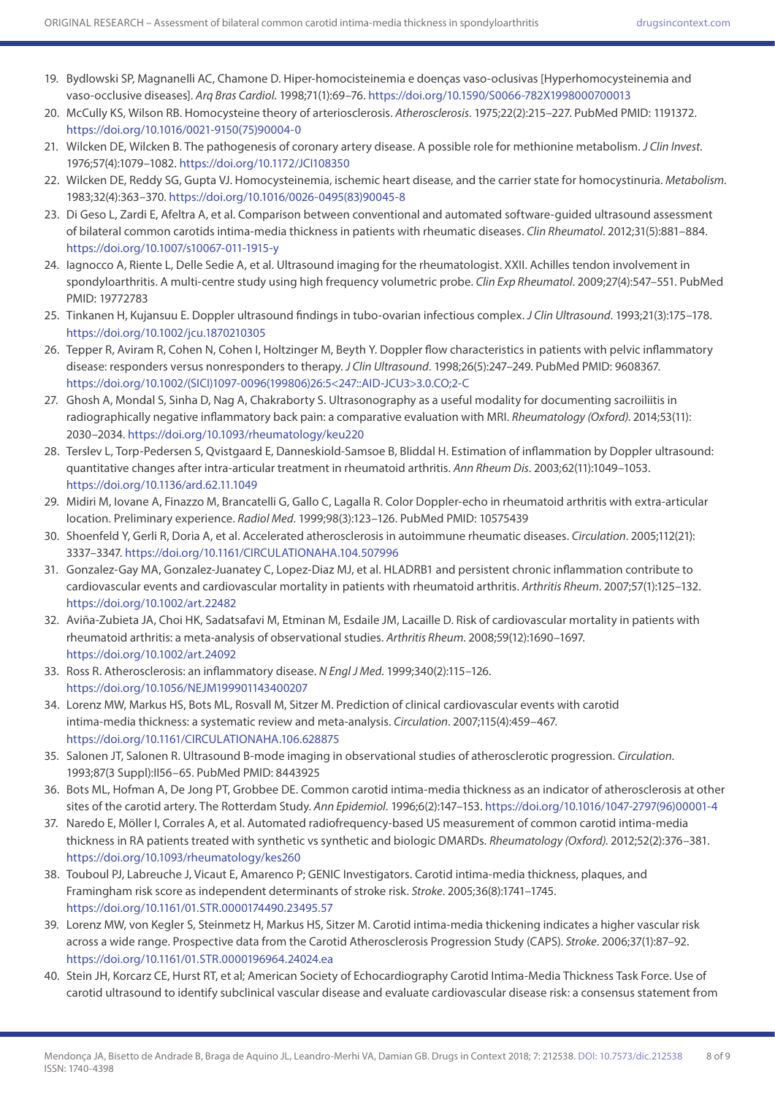- 19. Bydlowski SP, Magnanelli AC, Chamone D. Hiper-homocisteinemia e doenças vaso-oclusivas [Hyperhomocysteinemia and vaso-occlusive diseases]. *Arq Bras Cardiol*. 1998;71(1):69–76.<https://doi.org/10.1590/S0066-782X1998000700013>
- 20. McCully KS, Wilson RB. Homocysteine theory of arteriosclerosis. *Atherosclerosis*. 1975;22(2):215–227. PubMed PMID: 1191372. [https://doi.org/10.1016/0021-9150\(75\)90004-0](https://doi.org/10.1016/0021-9150(75)90004-0)
- 21. Wilcken DE, Wilcken B. The pathogenesis of coronary artery disease. A possible role for methionine metabolism. *J Clin Invest*. 1976;57(4):1079–1082. <https://doi.org/10.1172/JCI108350>
- 22. Wilcken DE, Reddy SG, Gupta VJ. Homocysteinemia, ischemic heart disease, and the carrier state for homocystinuria. *Metabolism*. 1983;32(4):363–370. [https://doi.org/10.1016/0026-0495\(83\)90045-8](https://doi.org/10.1016/0026-0495(83)90045-8)
- 23. Di Geso L, Zardi E, Afeltra A, et al. Comparison between conventional and automated software-guided ultrasound assessment of bilateral common carotids intima-media thickness in patients with rheumatic diseases. *Clin Rheumatol*. 2012;31(5):881–884. <https://doi.org/10.1007/s10067-011-1915-y>
- 24. Iagnocco A, Riente L, Delle Sedie A, et al. Ultrasound imaging for the rheumatologist. XXII. Achilles tendon involvement in spondyloarthritis. A multi-centre study using high frequency volumetric probe. *Clin Exp Rheumatol*. 2009;27(4):547–551. PubMed PMID: 19772783
- 25. Tinkanen H, Kujansuu E. Doppler ultrasound findings in tubo-ovarian infectious complex. *J Clin Ultrasound*. 1993;21(3):175–178. <https://doi.org/10.1002/jcu.1870210305>
- 26. Tepper R, Aviram R, Cohen N, Cohen I, Holtzinger M, Beyth Y. Doppler flow characteristics in patients with pelvic inflammatory disease: responders versus nonresponders to therapy. *J Clin Ultrasound*. 1998;26(5):247–249. PubMed PMID: 9608367. [https://doi.org/10.1002/\(SICI\)1097-0096\(199806\)26:5<247::AID-JCU3>3.0.CO;2-C](https://doi.org/10.1002/(SICI)1097-0096(199806)26:5<247::AID-JCU3>3.0.CO;2-C)
- 27. Ghosh A, Mondal S, Sinha D, Nag A, Chakraborty S. Ultrasonography as a useful modality for documenting sacroiliitis in radiographically negative inflammatory back pain: a comparative evaluation with MRI. *Rheumatology (Oxford)*. 2014;53(11): 2030–2034.<https://doi.org/10.1093/rheumatology/keu220>
- 28. Terslev L, Torp-Pedersen S, Qvistgaard E, Danneskiold-Samsoe B, Bliddal H. Estimation of inflammation by Doppler ultrasound: quantitative changes after intra-articular treatment in rheumatoid arthritis. *Ann Rheum Dis*. 2003;62(11):1049–1053. <https://doi.org/10.1136/ard.62.11.1049>
- 29. Midiri M, Iovane A, Finazzo M, Brancatelli G, Gallo C, Lagalla R. Color Doppler-echo in rheumatoid arthritis with extra-articular location. Preliminary experience. *Radiol Med*. 1999;98(3):123–126. PubMed PMID: 10575439
- 30. Shoenfeld Y, Gerli R, Doria A, et al. Accelerated atherosclerosis in autoimmune rheumatic diseases. *Circulation*. 2005;112(21): 3337–3347.<https://doi.org/10.1161/CIRCULATIONAHA.104.507996>
- 31. Gonzalez-Gay MA, Gonzalez-Juanatey C, Lopez-Diaz MJ, et al. HLADRB1 and persistent chronic inflammation contribute to cardiovascular events and cardiovascular mortality in patients with rheumatoid arthritis. *Arthritis Rheum*. 2007;57(1):125–132. <https://doi.org/10.1002/art.22482>
- 32. Aviña-Zubieta JA, Choi HK, Sadatsafavi M, Etminan M, Esdaile JM, Lacaille D. Risk of cardiovascular mortality in patients with rheumatoid arthritis: a meta-analysis of observational studies. *Arthritis Rheum*. 2008;59(12):1690–1697. <https://doi.org/10.1002/art.24092>
- 33. Ross R. Atherosclerosis: an inflammatory disease. *N Engl J Med*. 1999;340(2):115–126. <https://doi.org/10.1056/NEJM199901143400207>
- 34. Lorenz MW, Markus HS, Bots ML, Rosvall M, Sitzer M. Prediction of clinical cardiovascular events with carotid intima-media thickness: a systematic review and meta-analysis. *Circulation*. 2007;115(4):459–467. <https://doi.org/10.1161/CIRCULATIONAHA.106.628875>
- 35. Salonen JT, Salonen R. Ultrasound B-mode imaging in observational studies of atherosclerotic progression. *Circulation*. 1993;87(3 Suppl):II56–65. PubMed PMID: 8443925
- 36. Bots ML, Hofman A, De Jong PT, Grobbee DE. Common carotid intima-media thickness as an indicator of atherosclerosis at other sites of the carotid artery. The Rotterdam Study. *Ann Epidemiol*. 1996;6(2):147–153. [https://doi.org/10.1016/1047-2797\(96\)00001-4](https://doi.org/10.1016/1047-2797(96)00001-4)
- 37. Naredo E, Möller I, Corrales A, et al. Automated radiofrequency-based US measurement of common carotid intima-media thickness in RA patients treated with synthetic vs synthetic and biologic DMARDs. *Rheumatology (Oxford)*. 2012;52(2):376–381. <https://doi.org/10.1093/rheumatology/kes260>
- 38. Touboul PJ, Labreuche J, Vicaut E, Amarenco P; GENIC Investigators. Carotid intima-media thickness, plaques, and Framingham risk score as independent determinants of stroke risk. *Stroke*. 2005;36(8):1741–1745. <https://doi.org/10.1161/01.STR.0000174490.23495.57>
- 39. Lorenz MW, von Kegler S, Steinmetz H, Markus HS, Sitzer M. Carotid intima-media thickening indicates a higher vascular risk across a wide range. Prospective data from the Carotid Atherosclerosis Progression Study (CAPS). *Stroke*. 2006;37(1):87–92. <https://doi.org/10.1161/01.STR.0000196964.24024.ea>
- 40. Stein JH, Korcarz CE, Hurst RT, et al; American Society of Echocardiography Carotid Intima-Media Thickness Task Force. Use of carotid ultrasound to identify subclinical vascular disease and evaluate cardiovascular disease risk: a consensus statement from